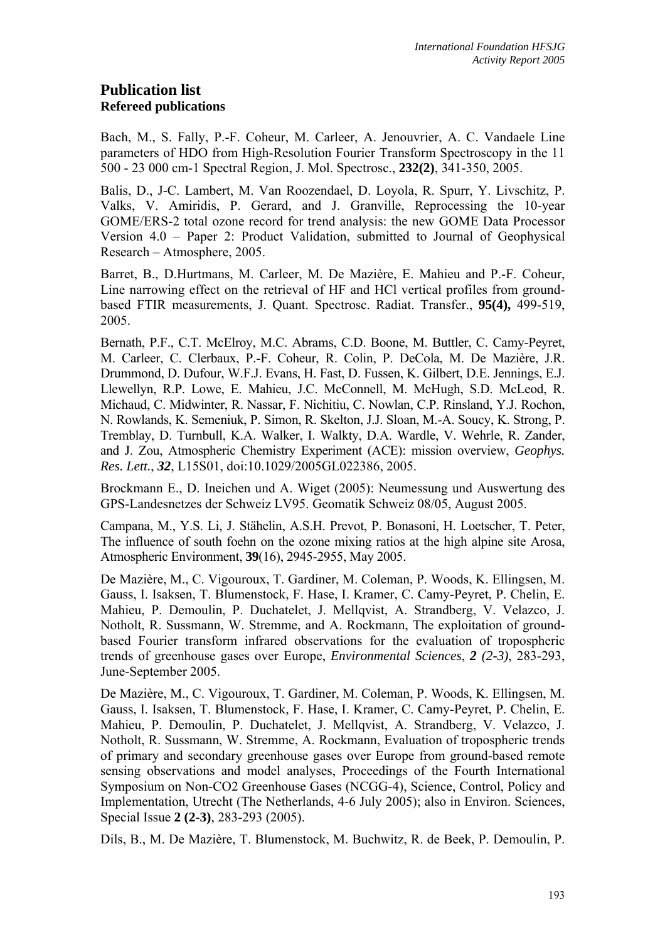# **Publication list Refereed publications**

Bach, M., S. Fally, P.-F. Coheur, M. Carleer, A. Jenouvrier, A. C. Vandaele Line parameters of HDO from High-Resolution Fourier Transform Spectroscopy in the 11 500 - 23 000 cm-1 Spectral Region, J. Mol. Spectrosc., **232(2)**, 341-350, 2005.

Balis, D., J-C. Lambert, M. Van Roozendael, D. Loyola, R. Spurr, Y. Livschitz, P. Valks, V. Amiridis, P. Gerard, and J. Granville, Reprocessing the 10-year GOME/ERS-2 total ozone record for trend analysis: the new GOME Data Processor Version 4.0 – Paper 2: Product Validation, submitted to Journal of Geophysical Research – Atmosphere, 2005.

Barret, B., D.Hurtmans, M. Carleer, M. De Mazière, E. Mahieu and P.-F. Coheur, Line narrowing effect on the retrieval of HF and HCl vertical profiles from groundbased FTIR measurements, J. Quant. Spectrosc. Radiat. Transfer., **95(4),** 499-519, 2005.

Bernath, P.F., C.T. McElroy, M.C. Abrams, C.D. Boone, M. Buttler, C. Camy-Peyret, M. Carleer, C. Clerbaux, P.-F. Coheur, R. Colin, P. DeCola, M. De Mazière, J.R. Drummond, D. Dufour, W.F.J. Evans, H. Fast, D. Fussen, K. Gilbert, D.E. Jennings, E.J. Llewellyn, R.P. Lowe, E. Mahieu, J.C. McConnell, M. McHugh, S.D. McLeod, R. Michaud, C. Midwinter, R. Nassar, F. Nichitiu, C. Nowlan, C.P. Rinsland, Y.J. Rochon, N. Rowlands, K. Semeniuk, P. Simon, R. Skelton, J.J. Sloan, M.-A. Soucy, K. Strong, P. Tremblay, D. Turnbull, K.A. Walker, I. Walkty, D.A. Wardle, V. Wehrle, R. Zander, and J. Zou, Atmospheric Chemistry Experiment (ACE): mission overview, *Geophys. Res. Lett.*, *32*, L15S01, doi:10.1029/2005GL022386, 2005.

Brockmann E., D. Ineichen und A. Wiget (2005): Neumessung und Auswertung des GPS-Landesnetzes der Schweiz LV95. Geomatik Schweiz 08/05, August 2005.

Campana, M., Y.S. Li, J. Stähelin, A.S.H. Prevot, P. Bonasoni, H. Loetscher, T. Peter, The influence of south foehn on the ozone mixing ratios at the high alpine site Arosa, Atmospheric Environment, **39**(16), 2945-2955, May 2005.

De Mazière, M., C. Vigouroux, T. Gardiner, M. Coleman, P. Woods, K. Ellingsen, M. Gauss, I. Isaksen, T. Blumenstock, F. Hase, I. Kramer, C. Camy-Peyret, P. Chelin, E. Mahieu, P. Demoulin, P. Duchatelet, J. Mellqvist, A. Strandberg, V. Velazco, J. Notholt, R. Sussmann, W. Stremme, and A. Rockmann, The exploitation of groundbased Fourier transform infrared observations for the evaluation of tropospheric trends of greenhouse gases over Europe, *Environmental Sciences*, *2 (2-3)*, 283-293, June-September 2005.

De Mazière, M., C. Vigouroux, T. Gardiner, M. Coleman, P. Woods, K. Ellingsen, M. Gauss, I. Isaksen, T. Blumenstock, F. Hase, I. Kramer, C. Camy-Peyret, P. Chelin, E. Mahieu, P. Demoulin, P. Duchatelet, J. Mellqvist, A. Strandberg, V. Velazco, J. Notholt, R. Sussmann, W. Stremme, A. Rockmann, Evaluation of tropospheric trends of primary and secondary greenhouse gases over Europe from ground-based remote sensing observations and model analyses, Proceedings of the Fourth International Symposium on Non-CO2 Greenhouse Gases (NCGG-4), Science, Control, Policy and Implementation, Utrecht (The Netherlands, 4-6 July 2005); also in Environ. Sciences, Special Issue **2 (2-3)**, 283-293 (2005).

Dils, B., M. De Mazière, T. Blumenstock, M. Buchwitz, R. de Beek, P. Demoulin, P.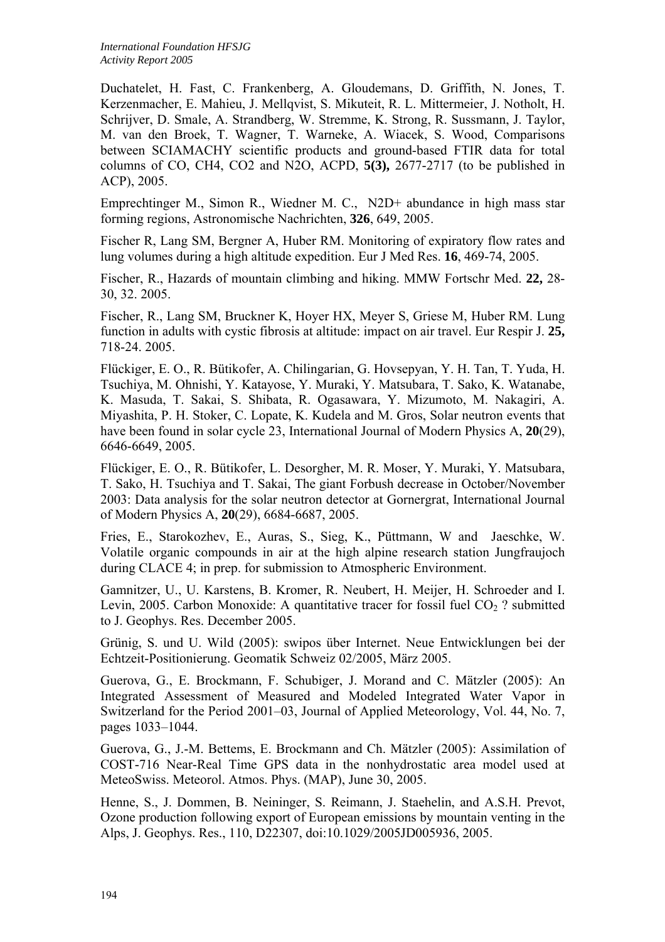Duchatelet, H. Fast, C. Frankenberg, A. Gloudemans, D. Griffith, N. Jones, T. Kerzenmacher, E. Mahieu, J. Mellqvist, S. Mikuteit, R. L. Mittermeier, J. Notholt, H. Schrijver, D. Smale, A. Strandberg, W. Stremme, K. Strong, R. Sussmann, J. Taylor, M. van den Broek, T. Wagner, T. Warneke, A. Wiacek, S. Wood, Comparisons between SCIAMACHY scientific products and ground-based FTIR data for total columns of CO, CH4, CO2 and N2O, ACPD, **5(3),** 2677-2717 (to be published in ACP), 2005.

Emprechtinger M., Simon R., Wiedner M. C., N2D+ abundance in high mass star forming regions, Astronomische Nachrichten, **326**, 649, 2005.

Fischer R, Lang SM, Bergner A, Huber RM. Monitoring of expiratory flow rates and lung volumes during a high altitude expedition. Eur J Med Res. **16**, 469-74, 2005.

Fischer, R., Hazards of mountain climbing and hiking. MMW Fortschr Med. **22,** 28- 30, 32. 2005.

Fischer, R., Lang SM, Bruckner K, Hoyer HX, Meyer S, Griese M, Huber RM. Lung function in adults with cystic fibrosis at altitude: impact on air travel. Eur Respir J. **25,**  718-24. 2005.

Flückiger, E. O., R. Bütikofer, A. Chilingarian, G. Hovsepyan, Y. H. Tan, T. Yuda, H. Tsuchiya, M. Ohnishi, Y. Katayose, Y. Muraki, Y. Matsubara, T. Sako, K. Watanabe, K. Masuda, T. Sakai, S. Shibata, R. Ogasawara, Y. Mizumoto, M. Nakagiri, A. Miyashita, P. H. Stoker, C. Lopate, K. Kudela and M. Gros, Solar neutron events that have been found in solar cycle 23, International Journal of Modern Physics A, **20**(29), 6646-6649, 2005.

Flückiger, E. O., R. Bütikofer, L. Desorgher, M. R. Moser, Y. Muraki, Y. Matsubara, T. Sako, H. Tsuchiya and T. Sakai, The giant Forbush decrease in October/November 2003: Data analysis for the solar neutron detector at Gornergrat, International Journal of Modern Physics A, **20**(29), 6684-6687, 2005.

Fries, E., Starokozhev, E., Auras, S., Sieg, K., Püttmann, W and Jaeschke, W. Volatile organic compounds in air at the high alpine research station Jungfraujoch during CLACE 4; in prep. for submission to Atmospheric Environment.

Gamnitzer, U., U. Karstens, B. Kromer, R. Neubert, H. Meijer, H. Schroeder and I. Levin, 2005. Carbon Monoxide: A quantitative tracer for fossil fuel  $CO<sub>2</sub>$ ? submitted to J. Geophys. Res. December 2005.

Grünig, S. und U. Wild (2005): swipos über Internet. Neue Entwicklungen bei der Echtzeit-Positionierung. Geomatik Schweiz 02/2005, März 2005.

Guerova, G., E. Brockmann, F. Schubiger, J. Morand and C. Mätzler (2005): An Integrated Assessment of Measured and Modeled Integrated Water Vapor in Switzerland for the Period 2001–03, Journal of Applied Meteorology, Vol. 44, No. 7, pages 1033–1044.

Guerova, G., J.-M. Bettems, E. Brockmann and Ch. Mätzler (2005): Assimilation of COST-716 Near-Real Time GPS data in the nonhydrostatic area model used at MeteoSwiss. Meteorol. Atmos. Phys. (MAP), June 30, 2005.

Henne, S., J. Dommen, B. Neininger, S. Reimann, J. Staehelin, and A.S.H. Prevot, Ozone production following export of European emissions by mountain venting in the Alps, J. Geophys. Res., 110, D22307, doi:10.1029/2005JD005936, 2005.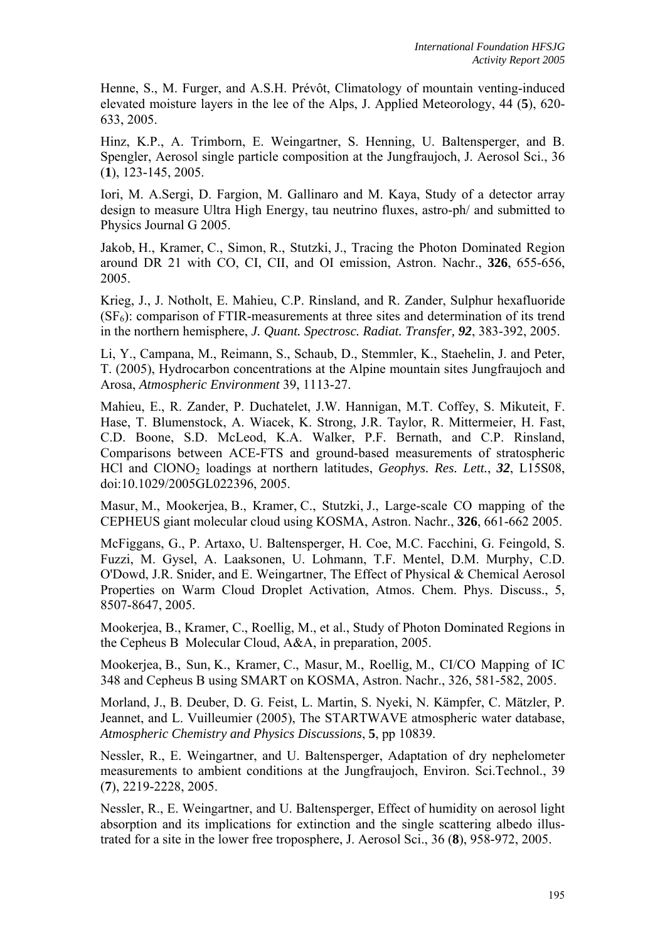Henne, S., M. Furger, and A.S.H. Prévôt, Climatology of mountain venting-induced elevated moisture layers in the lee of the Alps, J. Applied Meteorology, 44 (**5**), 620- 633, 2005.

Hinz, K.P., A. Trimborn, E. Weingartner, S. Henning, U. Baltensperger, and B. Spengler, Aerosol single particle composition at the Jungfraujoch, J. Aerosol Sci., 36 (**1**), 123-145, 2005.

Iori, M. A.Sergi, D. Fargion, M. Gallinaro and M. Kaya, Study of a detector array design to measure Ultra High Energy, tau neutrino fluxes, astro-ph/ and submitted to Physics Journal G 2005.

Jakob, H., Kramer, C., Simon, R., Stutzki, J., Tracing the Photon Dominated Region around DR 21 with CO, CI, CII, and OI emission, Astron. Nachr., **326**, 655-656, 2005.

Krieg, J., J. Notholt, E. Mahieu, C.P. Rinsland, and R. Zander, Sulphur hexafluoride  $(SF_6)$ : comparison of FTIR-measurements at three sites and determination of its trend in the northern hemisphere, *J. Quant. Spectrosc. Radiat. Transfer, 92*, 383-392, 2005.

Li, Y., Campana, M., Reimann, S., Schaub, D., Stemmler, K., Staehelin, J. and Peter, T. (2005), Hydrocarbon concentrations at the Alpine mountain sites Jungfraujoch and Arosa, *Atmospheric Environment* 39, 1113-27.

Mahieu, E., R. Zander, P. Duchatelet, J.W. Hannigan, M.T. Coffey, S. Mikuteit, F. Hase, T. Blumenstock, A. Wiacek, K. Strong, J.R. Taylor, R. Mittermeier, H. Fast, C.D. Boone, S.D. McLeod, K.A. Walker, P.F. Bernath, and C.P. Rinsland, Comparisons between ACE-FTS and ground-based measurements of stratospheric HCl and ClONO2 loadings at northern latitudes, *Geophys. Res. Lett.*, *32*, L15S08, doi:10.1029/2005GL022396, 2005.

Masur, M., Mookerjea, B., Kramer, C., Stutzki, J., Large-scale CO mapping of the CEPHEUS giant molecular cloud using KOSMA, Astron. Nachr., **326**, 661-662 2005.

McFiggans, G., P. Artaxo, U. Baltensperger, H. Coe, M.C. Facchini, G. Feingold, S. Fuzzi, M. Gysel, A. Laaksonen, U. Lohmann, T.F. Mentel, D.M. Murphy, C.D. O'Dowd, J.R. Snider, and E. Weingartner, The Effect of Physical & Chemical Aerosol Properties on Warm Cloud Droplet Activation, Atmos. Chem. Phys. Discuss., 5, 8507-8647, 2005.

Mookerjea, B., Kramer, C., Roellig, M., et al., Study of Photon Dominated Regions in the Cepheus B Molecular Cloud, A&A, in preparation, 2005.

Mookerjea, B., Sun, K., Kramer, C., Masur, M., Roellig, M., CI/CO Mapping of IC 348 and Cepheus B using SMART on KOSMA, Astron. Nachr., 326, 581-582, 2005.

Morland, J., B. Deuber, D. G. Feist, L. Martin, S. Nyeki, N. Kämpfer, C. Mätzler, P. Jeannet, and L. Vuilleumier (2005), The STARTWAVE atmospheric water database, *Atmospheric Chemistry and Physics Discussions*, **5**, pp 10839.

Nessler, R., E. Weingartner, and U. Baltensperger, Adaptation of dry nephelometer measurements to ambient conditions at the Jungfraujoch, Environ. Sci.Technol., 39 (**7**), 2219-2228, 2005.

Nessler, R., E. Weingartner, and U. Baltensperger, Effect of humidity on aerosol light absorption and its implications for extinction and the single scattering albedo illustrated for a site in the lower free troposphere, J. Aerosol Sci., 36 (**8**), 958-972, 2005.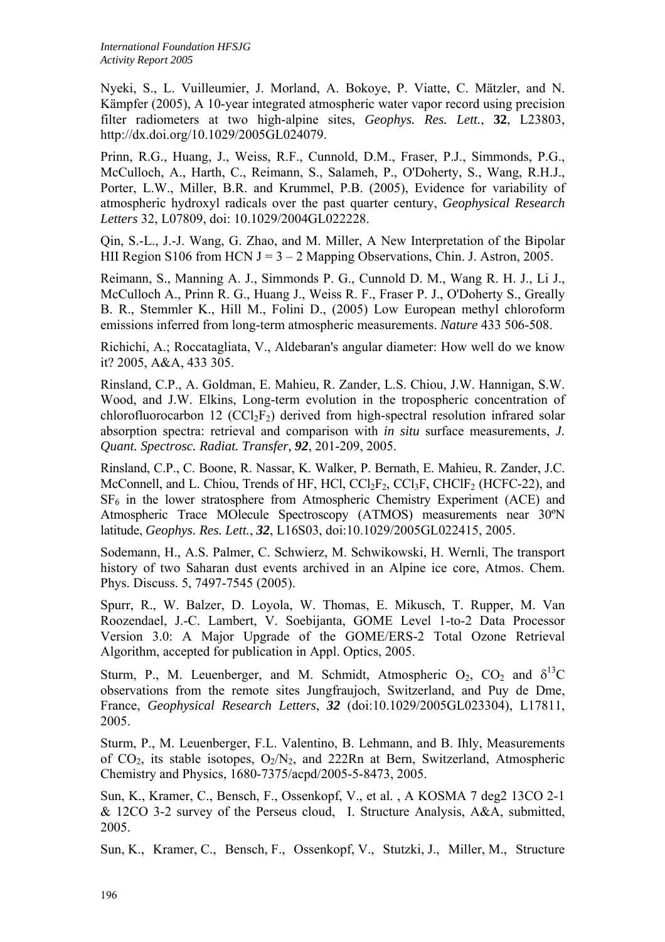Nyeki, S., L. Vuilleumier, J. Morland, A. Bokoye, P. Viatte, C. Mätzler, and N. Kämpfer (2005), A 10-year integrated atmospheric water vapor record using precision filter radiometers at two high-alpine sites, *Geophys. Res. Lett.*, **32**, L23803, http://dx.doi.org/10.1029/2005GL024079.

Prinn, R.G., Huang, J., Weiss, R.F., Cunnold, D.M., Fraser, P.J., Simmonds, P.G., McCulloch, A., Harth, C., Reimann, S., Salameh, P., O'Doherty, S., Wang, R.H.J., Porter, L.W., Miller, B.R. and Krummel, P.B. (2005), Evidence for variability of atmospheric hydroxyl radicals over the past quarter century, *Geophysical Research Letters* 32, L07809, doi: 10.1029/2004GL022228.

Qin, S.-L., J.-J. Wang, G. Zhao, and M. Miller, A New Interpretation of the Bipolar HII Region S106 from HCN J =  $3 - 2$  Mapping Observations, Chin. J. Astron, 2005.

Reimann, S., Manning A. J., Simmonds P. G., Cunnold D. M., Wang R. H. J., Li J., McCulloch A., Prinn R. G., Huang J., Weiss R. F., Fraser P. J., O'Doherty S., Greally B. R., Stemmler K., Hill M., Folini D., (2005) Low European methyl chloroform emissions inferred from long-term atmospheric measurements. *Nature* 433 506-508.

Richichi, A.; Roccatagliata, V., Aldebaran's angular diameter: How well do we know it? 2005, A&A, 433 305.

Rinsland, C.P., A. Goldman, E. Mahieu, R. Zander, L.S. Chiou, J.W. Hannigan, S.W. Wood, and J.W. Elkins, Long-term evolution in the tropospheric concentration of chlorofluorocarbon 12 (CCl<sub>2</sub>F<sub>2</sub>) derived from high-spectral resolution infrared solar absorption spectra: retrieval and comparison with *in situ* surface measurements, *J. Quant. Spectrosc. Radiat. Transfer, 92*, 201-209, 2005.

Rinsland, C.P., C. Boone, R. Nassar, K. Walker, P. Bernath, E. Mahieu, R. Zander, J.C. McConnell, and L. Chiou, Trends of HF, HCl,  $CCl_2F_2$ ,  $CCl_3F$ ,  $CHClF_2$  (HCFC-22), and  $SF<sub>6</sub>$  in the lower stratosphere from Atmospheric Chemistry Experiment (ACE) and Atmospheric Trace MOlecule Spectroscopy (ATMOS) measurements near 30ºN latitude, *Geophys. Res. Lett.*, *32*, L16S03, doi:10.1029/2005GL022415, 2005.

Sodemann, H., A.S. Palmer, C. Schwierz, M. Schwikowski, H. Wernli, The transport history of two Saharan dust events archived in an Alpine ice core, Atmos. Chem. Phys. Discuss. 5, 7497-7545 (2005).

Spurr, R., W. Balzer, D. Loyola, W. Thomas, E. Mikusch, T. Rupper, M. Van Roozendael, J.-C. Lambert, V. Soebijanta, GOME Level 1-to-2 Data Processor Version 3.0: A Major Upgrade of the GOME/ERS-2 Total Ozone Retrieval Algorithm, accepted for publication in Appl. Optics, 2005.

Sturm, P., M. Leuenberger, and M. Schmidt, Atmospheric  $O_2$ ,  $CO_2$  and  $\delta^{13}C$ observations from the remote sites Jungfraujoch, Switzerland, and Puy de Dme, France, *Geophysical Research Letters*, *32* (doi:10.1029/2005GL023304), L17811, 2005.

Sturm, P., M. Leuenberger, F.L. Valentino, B. Lehmann, and B. Ihly, Measurements of  $CO_2$ , its stable isotopes,  $O_2/N_2$ , and 222Rn at Bern, Switzerland, Atmospheric Chemistry and Physics, 1680-7375/acpd/2005-5-8473, 2005.

Sun, K., Kramer, C., Bensch, F., Ossenkopf, V., et al. , A KOSMA 7 deg2 13CO 2-1 & 12CO 3-2 survey of the Perseus cloud, I. Structure Analysis, A&A, submitted, 2005.

Sun, K., Kramer, C., Bensch, F., Ossenkopf, V., Stutzki, J., Miller, M., Structure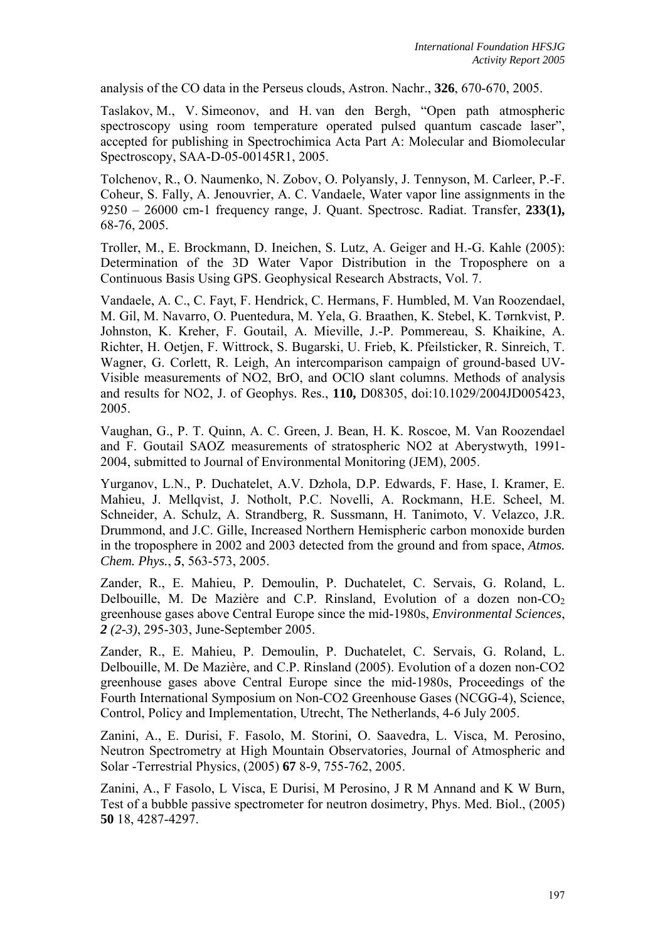analysis of the CO data in the Perseus clouds, Astron. Nachr., **326**, 670-670, 2005.

Taslakov, M., V. Simeonov, and H. van den Bergh, "Open path atmospheric spectroscopy using room temperature operated pulsed quantum cascade laser", accepted for publishing in Spectrochimica Acta Part A: Molecular and Biomolecular Spectroscopy, SAA-D-05-00145R1, 2005.

Tolchenov, R., O. Naumenko, N. Zobov, O. Polyansly, J. Tennyson, M. Carleer, P.-F. Coheur, S. Fally, A. Jenouvrier, A. C. Vandaele, Water vapor line assignments in the 9250 – 26000 cm-1 frequency range, J. Quant. Spectrosc. Radiat. Transfer, **233(1),** 68-76, 2005.

Troller, M., E. Brockmann, D. Ineichen, S. Lutz, A. Geiger and H.-G. Kahle (2005): Determination of the 3D Water Vapor Distribution in the Troposphere on a Continuous Basis Using GPS. Geophysical Research Abstracts, Vol. 7.

Vandaele, A. C., C. Fayt, F. Hendrick, C. Hermans, F. Humbled, M. Van Roozendael, M. Gil, M. Navarro, O. Puentedura, M. Yela, G. Braathen, K. Stebel, K. Tørnkvist, P. Johnston, K. Kreher, F. Goutail, A. Mieville, J.-P. Pommereau, S. Khaikine, A. Richter, H. Oetjen, F. Wittrock, S. Bugarski, U. Frieb, K. Pfeilsticker, R. Sinreich, T. Wagner, G. Corlett, R. Leigh, An intercomparison campaign of ground-based UV-Visible measurements of NO2, BrO, and OClO slant columns. Methods of analysis and results for NO2, J. of Geophys. Res., **110,** D08305, doi:10.1029/2004JD005423, 2005.

Vaughan, G., P. T. Quinn, A. C. Green, J. Bean, H. K. Roscoe, M. Van Roozendael and F. Goutail SAOZ measurements of stratospheric NO2 at Aberystwyth, 1991- 2004, submitted to Journal of Environmental Monitoring (JEM), 2005.

Yurganov, L.N., P. Duchatelet, A.V. Dzhola, D.P. Edwards, F. Hase, I. Kramer, E. Mahieu, J. Mellqvist, J. Notholt, P.C. Novelli, A. Rockmann, H.E. Scheel, M. Schneider, A. Schulz, A. Strandberg, R. Sussmann, H. Tanimoto, V. Velazco, J.R. Drummond, and J.C. Gille, Increased Northern Hemispheric carbon monoxide burden in the troposphere in 2002 and 2003 detected from the ground and from space, *Atmos. Chem. Phys.*, *5*, 563-573, 2005.

Zander, R., E. Mahieu, P. Demoulin, P. Duchatelet, C. Servais, G. Roland, L. Delbouille, M. De Mazière and C.P. Rinsland, Evolution of a dozen non- $CO<sub>2</sub>$ greenhouse gases above Central Europe since the mid-1980s, *Environmental Sciences*, *2 (2-3)*, 295-303, June-September 2005.

Zander, R., E. Mahieu, P. Demoulin, P. Duchatelet, C. Servais, G. Roland, L. Delbouille, M. De Mazière, and C.P. Rinsland (2005). Evolution of a dozen non-CO2 greenhouse gases above Central Europe since the mid-1980s, Proceedings of the Fourth International Symposium on Non-CO2 Greenhouse Gases (NCGG-4), Science, Control, Policy and Implementation, Utrecht, The Netherlands, 4-6 July 2005.

Zanini, A., E. Durisi, F. Fasolo, M. Storini, O. Saavedra, L. Visca, M. Perosino, Neutron Spectrometry at High Mountain Observatories, Journal of Atmospheric and Solar -Terrestrial Physics, (2005) **67** 8-9, 755-762, 2005.

Zanini, A., F Fasolo, L Visca, E Durisi, M Perosino, J R M Annand and K W Burn, Test of a bubble passive spectrometer for neutron dosimetry, Phys. Med. Biol., (2005) **50** 18, 4287-4297.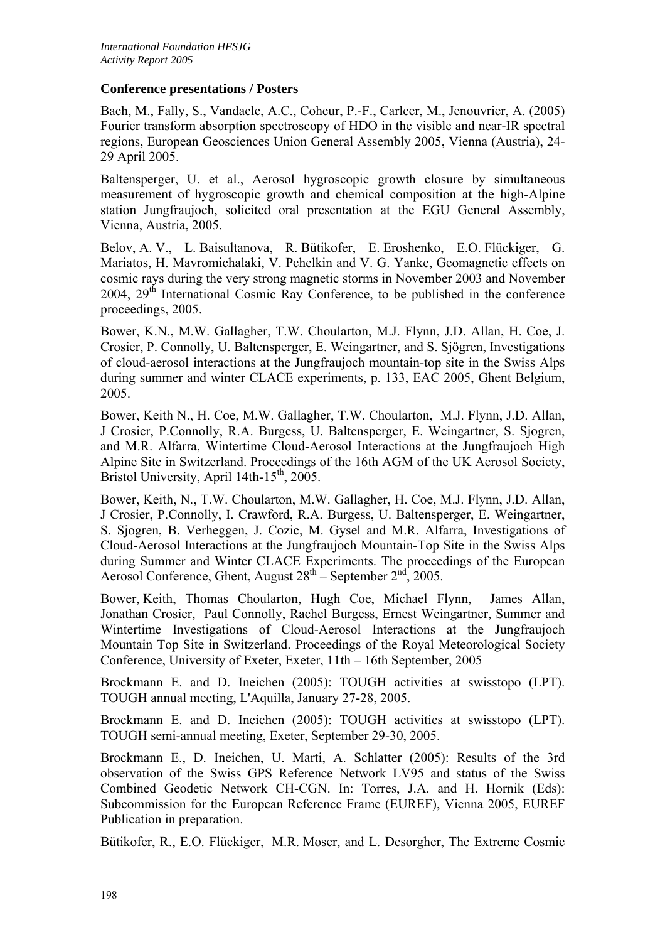### **Conference presentations / Posters**

Bach, M., Fally, S., Vandaele, A.C., Coheur, P.-F., Carleer, M., Jenouvrier, A. (2005) Fourier transform absorption spectroscopy of HDO in the visible and near-IR spectral regions, European Geosciences Union General Assembly 2005, Vienna (Austria), 24- 29 April 2005.

Baltensperger, U. et al., Aerosol hygroscopic growth closure by simultaneous measurement of hygroscopic growth and chemical composition at the high-Alpine station Jungfraujoch, solicited oral presentation at the EGU General Assembly, Vienna, Austria, 2005.

Belov, A. V., L. Baisultanova, R. Bütikofer, E. Eroshenko, E.O. Flückiger, G. Mariatos, H. Mavromichalaki, V. Pchelkin and V. G. Yanke, Geomagnetic effects on cosmic rays during the very strong magnetic storms in November 2003 and November  $2004$ ,  $29<sup>th</sup>$  International Cosmic Ray Conference, to be published in the conference proceedings, 2005.

Bower, K.N., M.W. Gallagher, T.W. Choularton, M.J. Flynn, J.D. Allan, H. Coe, J. Crosier, P. Connolly, U. Baltensperger, E. Weingartner, and S. Sjögren, Investigations of cloud-aerosol interactions at the Jungfraujoch mountain-top site in the Swiss Alps during summer and winter CLACE experiments, p. 133, EAC 2005, Ghent Belgium, 2005.

Bower, Keith N., H. Coe, M.W. Gallagher, T.W. Choularton, M.J. Flynn, J.D. Allan, J Crosier, P.Connolly, R.A. Burgess, U. Baltensperger, E. Weingartner, S. Sjogren, and M.R. Alfarra, Wintertime Cloud-Aerosol Interactions at the Jungfraujoch High Alpine Site in Switzerland. Proceedings of the 16th AGM of the UK Aerosol Society, Bristol University, April 14th-15<sup>th</sup>, 2005.

Bower, Keith, N., T.W. Choularton, M.W. Gallagher, H. Coe, M.J. Flynn, J.D. Allan, J Crosier, P.Connolly, I. Crawford, R.A. Burgess, U. Baltensperger, E. Weingartner, S. Sjogren, B. Verheggen, J. Cozic, M. Gysel and M.R. Alfarra, Investigations of Cloud-Aerosol Interactions at the Jungfraujoch Mountain-Top Site in the Swiss Alps during Summer and Winter CLACE Experiments. The proceedings of the European Aerosol Conference, Ghent, August  $28<sup>th</sup>$  – September  $2<sup>nd</sup>$ , 2005.

Bower, Keith, Thomas Choularton, Hugh Coe, Michael Flynn, James Allan, Jonathan Crosier, Paul Connolly, Rachel Burgess, Ernest Weingartner, Summer and Wintertime Investigations of Cloud-Aerosol Interactions at the Jungfraujoch Mountain Top Site in Switzerland. Proceedings of the Royal Meteorological Society Conference, University of Exeter, Exeter, 11th – 16th September, 2005

Brockmann E. and D. Ineichen (2005): TOUGH activities at swisstopo (LPT). TOUGH annual meeting, L'Aquilla, January 27-28, 2005.

Brockmann E. and D. Ineichen (2005): TOUGH activities at swisstopo (LPT). TOUGH semi-annual meeting, Exeter, September 29-30, 2005.

Brockmann E., D. Ineichen, U. Marti, A. Schlatter (2005): Results of the 3rd observation of the Swiss GPS Reference Network LV95 and status of the Swiss Combined Geodetic Network CH-CGN. In: Torres, J.A. and H. Hornik (Eds): Subcommission for the European Reference Frame (EUREF), Vienna 2005, EUREF Publication in preparation.

Bütikofer, R., E.O. Flückiger, M.R. Moser, and L. Desorgher, The Extreme Cosmic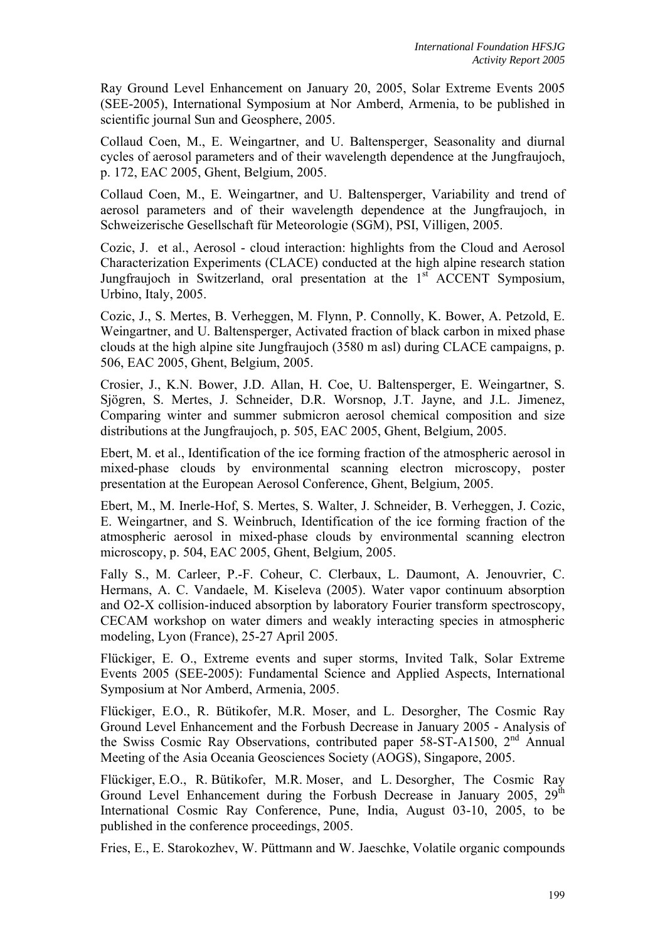Ray Ground Level Enhancement on January 20, 2005, Solar Extreme Events 2005 (SEE-2005), International Symposium at Nor Amberd, Armenia, to be published in scientific journal Sun and Geosphere, 2005.

Collaud Coen, M., E. Weingartner, and U. Baltensperger, Seasonality and diurnal cycles of aerosol parameters and of their wavelength dependence at the Jungfraujoch, p. 172, EAC 2005, Ghent, Belgium, 2005.

Collaud Coen, M., E. Weingartner, and U. Baltensperger, Variability and trend of aerosol parameters and of their wavelength dependence at the Jungfraujoch, in Schweizerische Gesellschaft für Meteorologie (SGM), PSI, Villigen, 2005.

Cozic, J. et al., Aerosol - cloud interaction: highlights from the Cloud and Aerosol Characterization Experiments (CLACE) conducted at the high alpine research station Jungfraujoch in Switzerland, oral presentation at the  $1<sup>st</sup>$  ACCENT Symposium, Urbino, Italy, 2005.

Cozic, J., S. Mertes, B. Verheggen, M. Flynn, P. Connolly, K. Bower, A. Petzold, E. Weingartner, and U. Baltensperger, Activated fraction of black carbon in mixed phase clouds at the high alpine site Jungfraujoch (3580 m asl) during CLACE campaigns, p. 506, EAC 2005, Ghent, Belgium, 2005.

Crosier, J., K.N. Bower, J.D. Allan, H. Coe, U. Baltensperger, E. Weingartner, S. Sjögren, S. Mertes, J. Schneider, D.R. Worsnop, J.T. Jayne, and J.L. Jimenez, Comparing winter and summer submicron aerosol chemical composition and size distributions at the Jungfraujoch, p. 505, EAC 2005, Ghent, Belgium, 2005.

Ebert, M. et al., Identification of the ice forming fraction of the atmospheric aerosol in mixed-phase clouds by environmental scanning electron microscopy, poster presentation at the European Aerosol Conference, Ghent, Belgium, 2005.

Ebert, M., M. Inerle-Hof, S. Mertes, S. Walter, J. Schneider, B. Verheggen, J. Cozic, E. Weingartner, and S. Weinbruch, Identification of the ice forming fraction of the atmospheric aerosol in mixed-phase clouds by environmental scanning electron microscopy, p. 504, EAC 2005, Ghent, Belgium, 2005.

Fally S., M. Carleer, P.-F. Coheur, C. Clerbaux, L. Daumont, A. Jenouvrier, C. Hermans, A. C. Vandaele, M. Kiseleva (2005). Water vapor continuum absorption and O2-X collision-induced absorption by laboratory Fourier transform spectroscopy, CECAM workshop on water dimers and weakly interacting species in atmospheric modeling, Lyon (France), 25-27 April 2005.

Flückiger, E. O., Extreme events and super storms, Invited Talk, Solar Extreme Events 2005 (SEE-2005): Fundamental Science and Applied Aspects, International Symposium at Nor Amberd, Armenia, 2005.

Flückiger, E.O., R. Bütikofer, M.R. Moser, and L. Desorgher, The Cosmic Ray Ground Level Enhancement and the Forbush Decrease in January 2005 - Analysis of the Swiss Cosmic Ray Observations, contributed paper 58-ST-A1500, 2<sup>nd</sup> Annual Meeting of the Asia Oceania Geosciences Society (AOGS), Singapore, 2005.

Flückiger, E.O., R. Bütikofer, M.R. Moser, and L. Desorgher, The Cosmic Ray Ground Level Enhancement during the Forbush Decrease in January 2005,  $29<sup>th</sup>$ International Cosmic Ray Conference, Pune, India, August 03-10, 2005, to be published in the conference proceedings, 2005.

Fries, E., E. Starokozhev, W. Püttmann and W. Jaeschke, Volatile organic compounds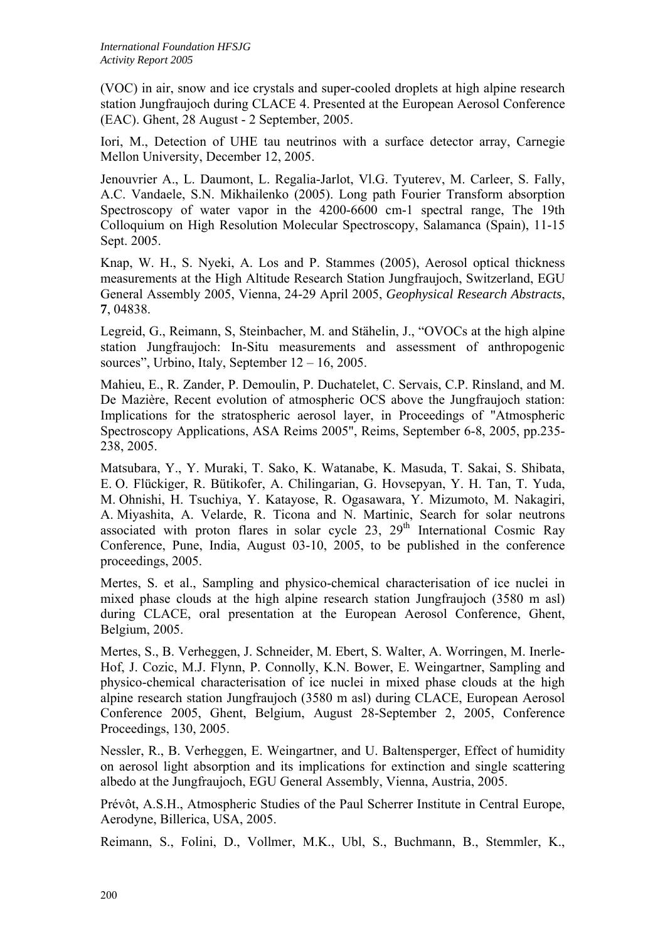(VOC) in air, snow and ice crystals and super-cooled droplets at high alpine research station Jungfraujoch during CLACE 4. Presented at the European Aerosol Conference (EAC). Ghent, 28 August - 2 September, 2005.

Iori, M., Detection of UHE tau neutrinos with a surface detector array, Carnegie Mellon University, December 12, 2005.

Jenouvrier A., L. Daumont, L. Regalia-Jarlot, Vl.G. Tyuterev, M. Carleer, S. Fally, A.C. Vandaele, S.N. Mikhailenko (2005). Long path Fourier Transform absorption Spectroscopy of water vapor in the 4200-6600 cm-1 spectral range, The 19th Colloquium on High Resolution Molecular Spectroscopy, Salamanca (Spain), 11-15 Sept. 2005.

Knap, W. H., S. Nyeki, A. Los and P. Stammes (2005), Aerosol optical thickness measurements at the High Altitude Research Station Jungfraujoch, Switzerland, EGU General Assembly 2005, Vienna, 24-29 April 2005, *Geophysical Research Abstracts*, **7**, 04838.

Legreid, G., Reimann, S, Steinbacher, M. and Stähelin, J., "OVOCs at the high alpine station Jungfraujoch: In-Situ measurements and assessment of anthropogenic sources", Urbino, Italy, September 12 – 16, 2005.

Mahieu, E., R. Zander, P. Demoulin, P. Duchatelet, C. Servais, C.P. Rinsland, and M. De Mazière, Recent evolution of atmospheric OCS above the Jungfraujoch station: Implications for the stratospheric aerosol layer, in Proceedings of "Atmospheric Spectroscopy Applications, ASA Reims 2005", Reims, September 6-8, 2005, pp.235- 238, 2005.

Matsubara, Y., Y. Muraki, T. Sako, K. Watanabe, K. Masuda, T. Sakai, S. Shibata, E. O. Flückiger, R. Bütikofer, A. Chilingarian, G. Hovsepyan, Y. H. Tan, T. Yuda, M. Ohnishi, H. Tsuchiya, Y. Katayose, R. Ogasawara, Y. Mizumoto, M. Nakagiri, A. Miyashita, A. Velarde, R. Ticona and N. Martinic, Search for solar neutrons associated with proton flares in solar cycle  $23$ ,  $29<sup>th</sup>$  International Cosmic Ray Conference, Pune, India, August 03-10, 2005, to be published in the conference proceedings, 2005.

Mertes, S. et al., Sampling and physico-chemical characterisation of ice nuclei in mixed phase clouds at the high alpine research station Jungfraujoch (3580 m asl) during CLACE, oral presentation at the European Aerosol Conference, Ghent, Belgium, 2005.

Mertes, S., B. Verheggen, J. Schneider, M. Ebert, S. Walter, A. Worringen, M. Inerle-Hof, J. Cozic, M.J. Flynn, P. Connolly, K.N. Bower, E. Weingartner, Sampling and physico-chemical characterisation of ice nuclei in mixed phase clouds at the high alpine research station Jungfraujoch (3580 m asl) during CLACE, European Aerosol Conference 2005, Ghent, Belgium, August 28-September 2, 2005, Conference Proceedings, 130, 2005.

Nessler, R., B. Verheggen, E. Weingartner, and U. Baltensperger, Effect of humidity on aerosol light absorption and its implications for extinction and single scattering albedo at the Jungfraujoch, EGU General Assembly, Vienna, Austria, 2005.

Prévôt, A.S.H., Atmospheric Studies of the Paul Scherrer Institute in Central Europe, Aerodyne, Billerica, USA, 2005.

Reimann, S., Folini, D., Vollmer, M.K., Ubl, S., Buchmann, B., Stemmler, K.,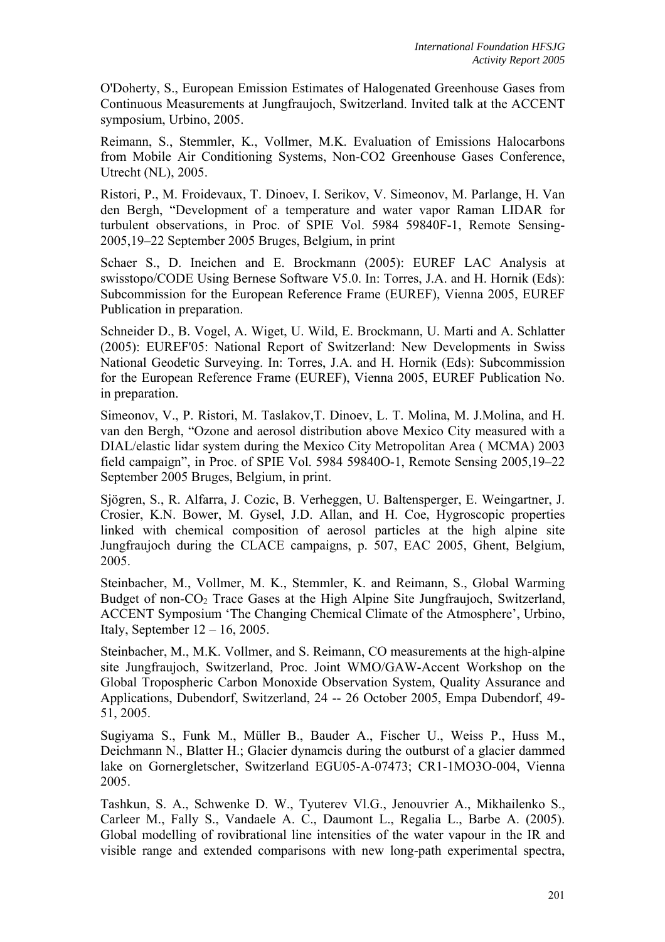O'Doherty, S., European Emission Estimates of Halogenated Greenhouse Gases from Continuous Measurements at Jungfraujoch, Switzerland. Invited talk at the ACCENT symposium, Urbino, 2005.

Reimann, S., Stemmler, K., Vollmer, M.K. Evaluation of Emissions Halocarbons from Mobile Air Conditioning Systems, Non-CO2 Greenhouse Gases Conference, Utrecht (NL), 2005.

Ristori, P., M. Froidevaux, T. Dinoev, I. Serikov, V. Simeonov, M. Parlange, H. Van den Bergh, "Development of a temperature and water vapor Raman LIDAR for turbulent observations, in Proc. of SPIE Vol. 5984 59840F-1, Remote Sensing-2005,19–22 September 2005 Bruges, Belgium, in print

Schaer S., D. Ineichen and E. Brockmann (2005): EUREF LAC Analysis at swisstopo/CODE Using Bernese Software V5.0. In: Torres, J.A. and H. Hornik (Eds): Subcommission for the European Reference Frame (EUREF), Vienna 2005, EUREF Publication in preparation.

Schneider D., B. Vogel, A. Wiget, U. Wild, E. Brockmann, U. Marti and A. Schlatter (2005): EUREF'05: National Report of Switzerland: New Developments in Swiss National Geodetic Surveying. In: Torres, J.A. and H. Hornik (Eds): Subcommission for the European Reference Frame (EUREF), Vienna 2005, EUREF Publication No. in preparation.

Simeonov, V., P. Ristori, M. Taslakov,T. Dinoev, L. T. Molina, M. J.Molina, and H. van den Bergh, "Ozone and aerosol distribution above Mexico City measured with a DIAL/elastic lidar system during the Mexico City Metropolitan Area ( MCMA) 2003 field campaign", in Proc. of SPIE Vol. 5984 59840O-1, Remote Sensing 2005,19–22 September 2005 Bruges, Belgium, in print.

Sjögren, S., R. Alfarra, J. Cozic, B. Verheggen, U. Baltensperger, E. Weingartner, J. Crosier, K.N. Bower, M. Gysel, J.D. Allan, and H. Coe, Hygroscopic properties linked with chemical composition of aerosol particles at the high alpine site Jungfraujoch during the CLACE campaigns, p. 507, EAC 2005, Ghent, Belgium, 2005.

Steinbacher, M., Vollmer, M. K., Stemmler, K. and Reimann, S., Global Warming Budget of non-CO<sub>2</sub> Trace Gases at the High Alpine Site Jungfraujoch, Switzerland, ACCENT Symposium 'The Changing Chemical Climate of the Atmosphere', Urbino, Italy, September 12 – 16, 2005.

Steinbacher, M., M.K. Vollmer, and S. Reimann, CO measurements at the high-alpine site Jungfraujoch, Switzerland, Proc. Joint WMO/GAW-Accent Workshop on the Global Tropospheric Carbon Monoxide Observation System, Quality Assurance and Applications, Dubendorf, Switzerland, 24 -- 26 October 2005, Empa Dubendorf, 49- 51, 2005.

Sugiyama S., Funk M., Müller B., Bauder A., Fischer U., Weiss P., Huss M., Deichmann N., Blatter H.; Glacier dynamcis during the outburst of a glacier dammed lake on Gornergletscher, Switzerland EGU05-A-07473; CR1-1MO3O-004, Vienna 2005.

Tashkun, S. A., Schwenke D. W., Tyuterev Vl.G., Jenouvrier A., Mikhailenko S., Carleer M., Fally S., Vandaele A. C., Daumont L., Regalia L., Barbe A. (2005). Global modelling of rovibrational line intensities of the water vapour in the IR and visible range and extended comparisons with new long-path experimental spectra,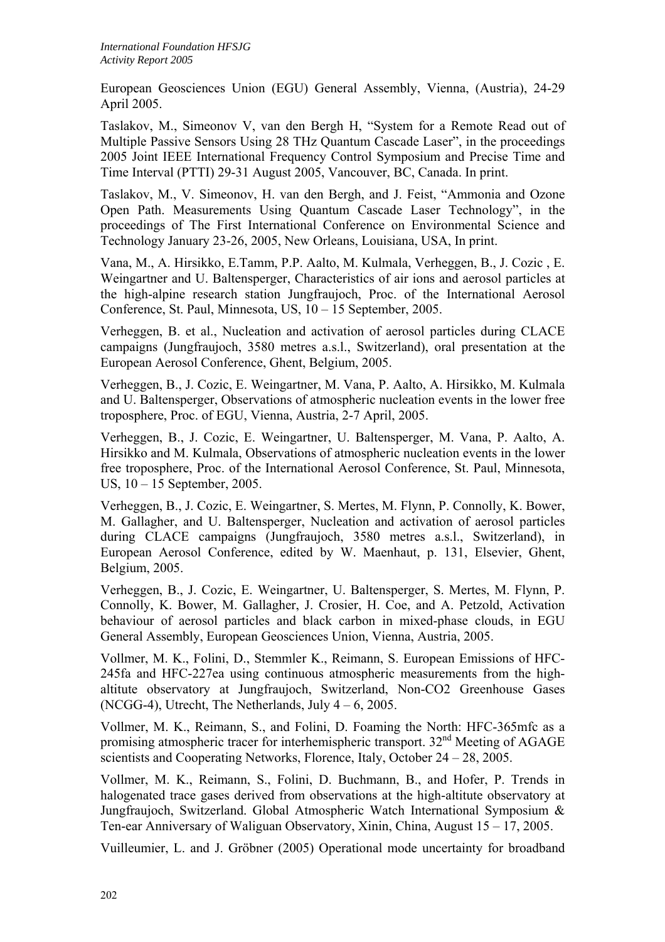European Geosciences Union (EGU) General Assembly, Vienna, (Austria), 24-29 April 2005.

Taslakov, M., Simeonov V, van den Bergh H, "System for a Remote Read out of Multiple Passive Sensors Using 28 THz Quantum Cascade Laser", in the proceedings 2005 Joint IEEE International Frequency Control Symposium and Precise Time and Time Interval (PTTI) 29-31 August 2005, Vancouver, BC, Canada. In print.

Taslakov, M., V. Simeonov, H. van den Bergh, and J. Feist, "Ammonia and Ozone Open Path. Measurements Using Quantum Cascade Laser Technology", in the proceedings of The First International Conference on Environmental Science and Technology January 23-26, 2005, New Orleans, Louisiana, USA, In print.

Vana, M., A. Hirsikko, E.Tamm, P.P. Aalto, M. Kulmala, Verheggen, B., J. Cozic , E. Weingartner and U. Baltensperger, Characteristics of air ions and aerosol particles at the high-alpine research station Jungfraujoch, Proc. of the International Aerosol Conference, St. Paul, Minnesota, US, 10 – 15 September, 2005.

Verheggen, B. et al., Nucleation and activation of aerosol particles during CLACE campaigns (Jungfraujoch, 3580 metres a.s.l., Switzerland), oral presentation at the European Aerosol Conference, Ghent, Belgium, 2005.

Verheggen, B., J. Cozic, E. Weingartner, M. Vana, P. Aalto, A. Hirsikko, M. Kulmala and U. Baltensperger, Observations of atmospheric nucleation events in the lower free troposphere, Proc. of EGU, Vienna, Austria, 2-7 April, 2005.

Verheggen, B., J. Cozic, E. Weingartner, U. Baltensperger, M. Vana, P. Aalto, A. Hirsikko and M. Kulmala, Observations of atmospheric nucleation events in the lower free troposphere, Proc. of the International Aerosol Conference, St. Paul, Minnesota, US, 10 – 15 September, 2005.

Verheggen, B., J. Cozic, E. Weingartner, S. Mertes, M. Flynn, P. Connolly, K. Bower, M. Gallagher, and U. Baltensperger, Nucleation and activation of aerosol particles during CLACE campaigns (Jungfraujoch, 3580 metres a.s.l., Switzerland), in European Aerosol Conference, edited by W. Maenhaut, p. 131, Elsevier, Ghent, Belgium, 2005.

Verheggen, B., J. Cozic, E. Weingartner, U. Baltensperger, S. Mertes, M. Flynn, P. Connolly, K. Bower, M. Gallagher, J. Crosier, H. Coe, and A. Petzold, Activation behaviour of aerosol particles and black carbon in mixed-phase clouds, in EGU General Assembly, European Geosciences Union, Vienna, Austria, 2005.

Vollmer, M. K., Folini, D., Stemmler K., Reimann, S. European Emissions of HFC-245fa and HFC-227ea using continuous atmospheric measurements from the highaltitute observatory at Jungfraujoch, Switzerland, Non-CO2 Greenhouse Gases (NCGG-4), Utrecht, The Netherlands, July  $4 - 6$ , 2005.

Vollmer, M. K., Reimann, S., and Folini, D. Foaming the North: HFC-365mfc as a promising atmospheric tracer for interhemispheric transport. 32nd Meeting of AGAGE scientists and Cooperating Networks, Florence, Italy, October 24 – 28, 2005.

Vollmer, M. K., Reimann, S., Folini, D. Buchmann, B., and Hofer, P. Trends in halogenated trace gases derived from observations at the high-altitute observatory at Jungfraujoch, Switzerland. Global Atmospheric Watch International Symposium & Ten-ear Anniversary of Waliguan Observatory, Xinin, China, August 15 – 17, 2005.

Vuilleumier, L. and J. Gröbner (2005) Operational mode uncertainty for broadband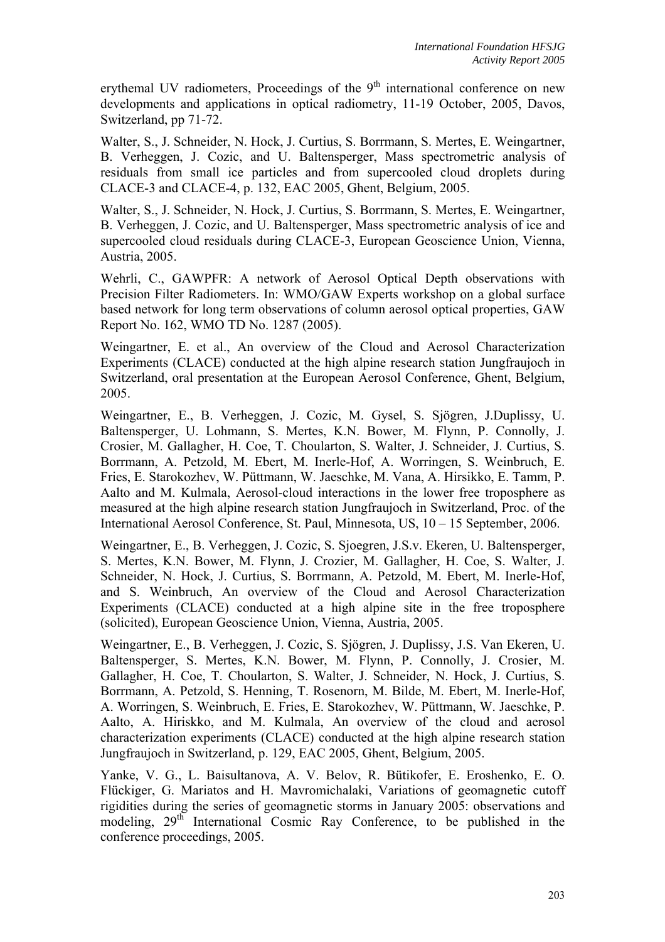erythemal UV radiometers, Proceedings of the  $9<sup>th</sup>$  international conference on new developments and applications in optical radiometry, 11-19 October, 2005, Davos, Switzerland, pp 71-72.

Walter, S., J. Schneider, N. Hock, J. Curtius, S. Borrmann, S. Mertes, E. Weingartner, B. Verheggen, J. Cozic, and U. Baltensperger, Mass spectrometric analysis of residuals from small ice particles and from supercooled cloud droplets during CLACE-3 and CLACE-4, p. 132, EAC 2005, Ghent, Belgium, 2005.

Walter, S., J. Schneider, N. Hock, J. Curtius, S. Borrmann, S. Mertes, E. Weingartner, B. Verheggen, J. Cozic, and U. Baltensperger, Mass spectrometric analysis of ice and supercooled cloud residuals during CLACE-3, European Geoscience Union, Vienna, Austria, 2005.

Wehrli, C., GAWPFR: A network of Aerosol Optical Depth observations with Precision Filter Radiometers. In: WMO/GAW Experts workshop on a global surface based network for long term observations of column aerosol optical properties, GAW Report No. 162, WMO TD No. 1287 (2005).

Weingartner, E. et al., An overview of the Cloud and Aerosol Characterization Experiments (CLACE) conducted at the high alpine research station Jungfraujoch in Switzerland, oral presentation at the European Aerosol Conference, Ghent, Belgium, 2005.

Weingartner, E., B. Verheggen, J. Cozic, M. Gysel, S. Sjögren, J.Duplissy, U. Baltensperger, U. Lohmann, S. Mertes, K.N. Bower, M. Flynn, P. Connolly, J. Crosier, M. Gallagher, H. Coe, T. Choularton, S. Walter, J. Schneider, J. Curtius, S. Borrmann, A. Petzold, M. Ebert, M. Inerle-Hof, A. Worringen, S. Weinbruch, E. Fries, E. Starokozhev, W. Püttmann, W. Jaeschke, M. Vana, A. Hirsikko, E. Tamm, P. Aalto and M. Kulmala, Aerosol-cloud interactions in the lower free troposphere as measured at the high alpine research station Jungfraujoch in Switzerland, Proc. of the International Aerosol Conference, St. Paul, Minnesota, US, 10 – 15 September, 2006.

Weingartner, E., B. Verheggen, J. Cozic, S. Sjoegren, J.S.v. Ekeren, U. Baltensperger, S. Mertes, K.N. Bower, M. Flynn, J. Crozier, M. Gallagher, H. Coe, S. Walter, J. Schneider, N. Hock, J. Curtius, S. Borrmann, A. Petzold, M. Ebert, M. Inerle-Hof, and S. Weinbruch, An overview of the Cloud and Aerosol Characterization Experiments (CLACE) conducted at a high alpine site in the free troposphere (solicited), European Geoscience Union, Vienna, Austria, 2005.

Weingartner, E., B. Verheggen, J. Cozic, S. Sjögren, J. Duplissy, J.S. Van Ekeren, U. Baltensperger, S. Mertes, K.N. Bower, M. Flynn, P. Connolly, J. Crosier, M. Gallagher, H. Coe, T. Choularton, S. Walter, J. Schneider, N. Hock, J. Curtius, S. Borrmann, A. Petzold, S. Henning, T. Rosenorn, M. Bilde, M. Ebert, M. Inerle-Hof, A. Worringen, S. Weinbruch, E. Fries, E. Starokozhev, W. Püttmann, W. Jaeschke, P. Aalto, A. Hiriskko, and M. Kulmala, An overview of the cloud and aerosol characterization experiments (CLACE) conducted at the high alpine research station Jungfraujoch in Switzerland, p. 129, EAC 2005, Ghent, Belgium, 2005.

Yanke, V. G., L. Baisultanova, A. V. Belov, R. Bütikofer, E. Eroshenko, E. O. Flückiger, G. Mariatos and H. Mavromichalaki, Variations of geomagnetic cutoff rigidities during the series of geomagnetic storms in January 2005: observations and modeling,  $29<sup>th</sup>$  International Cosmic Ray Conference, to be published in the conference proceedings, 2005.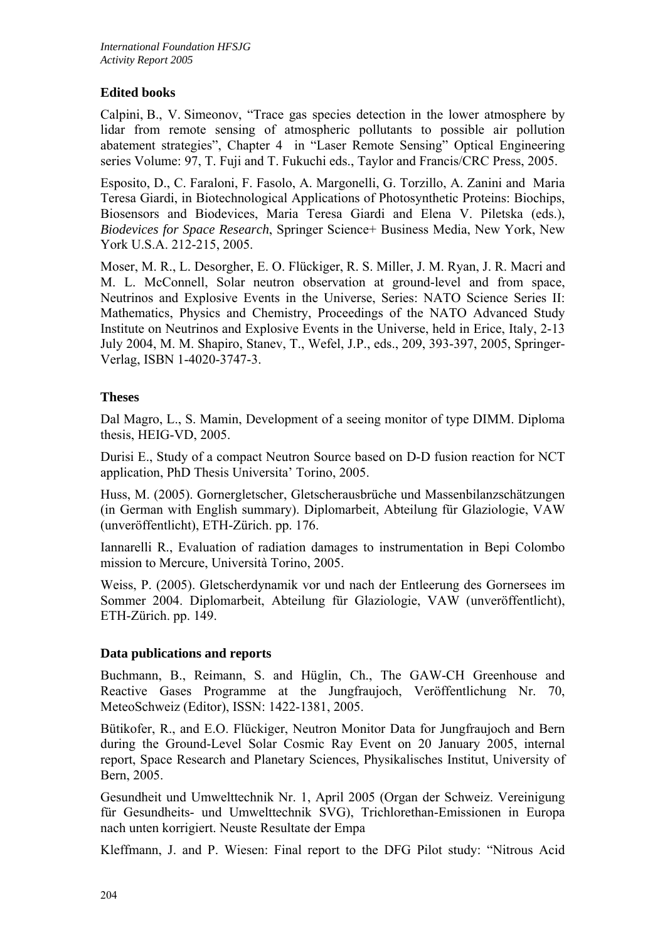## **Edited books**

Calpini, B., V. Simeonov, "Trace gas species detection in the lower atmosphere by lidar from remote sensing of atmospheric pollutants to possible air pollution abatement strategies", Chapter 4 in "Laser Remote Sensing" Optical Engineering series Volume: 97, T. Fuji and T. Fukuchi eds., Taylor and Francis/CRC Press, 2005.

Esposito, D., C. Faraloni, F. Fasolo, A. Margonelli, G. Torzillo, A. Zanini and Maria Teresa Giardi, in Biotechnological Applications of Photosynthetic Proteins: Biochips, Biosensors and Biodevices, Maria Teresa Giardi and Elena V. Piletska (eds.), *Biodevices for Space Research*, Springer Science+ Business Media, New York, New York U.S.A. 212-215, 2005.

Moser, M. R., L. Desorgher, E. O. Flückiger, R. S. Miller, J. M. Ryan, J. R. Macri and M. L. McConnell, Solar neutron observation at ground-level and from space, Neutrinos and Explosive Events in the Universe, Series: NATO Science Series II: Mathematics, Physics and Chemistry, Proceedings of the NATO Advanced Study Institute on Neutrinos and Explosive Events in the Universe, held in Erice, Italy, 2-13 July 2004, M. M. Shapiro, Stanev, T., Wefel, J.P., eds., 209, 393-397, 2005, Springer-Verlag, ISBN 1-4020-3747-3.

## **Theses**

Dal Magro, L., S. Mamin, Development of a seeing monitor of type DIMM. Diploma thesis, HEIG-VD, 2005.

Durisi E., Study of a compact Neutron Source based on D-D fusion reaction for NCT application, PhD Thesis Universita' Torino, 2005.

Huss, M. (2005). Gornergletscher, Gletscherausbrüche und Massenbilanzschätzungen (in German with English summary). Diplomarbeit, Abteilung für Glaziologie, VAW (unveröffentlicht), ETH-Zürich. pp. 176.

Iannarelli R., Evaluation of radiation damages to instrumentation in Bepi Colombo mission to Mercure, Università Torino, 2005.

Weiss, P. (2005). Gletscherdynamik vor und nach der Entleerung des Gornersees im Sommer 2004. Diplomarbeit, Abteilung für Glaziologie, VAW (unveröffentlicht), ETH-Zürich. pp. 149.

### **Data publications and reports**

Buchmann, B., Reimann, S. and Hüglin, Ch., The GAW-CH Greenhouse and Reactive Gases Programme at the Jungfraujoch, Veröffentlichung Nr. 70, MeteoSchweiz (Editor), ISSN: 1422-1381, 2005.

Bütikofer, R., and E.O. Flückiger, Neutron Monitor Data for Jungfraujoch and Bern during the Ground-Level Solar Cosmic Ray Event on 20 January 2005, internal report, Space Research and Planetary Sciences, Physikalisches Institut, University of Bern, 2005.

Gesundheit und Umwelttechnik Nr. 1, April 2005 (Organ der Schweiz. Vereinigung für Gesundheits- und Umwelttechnik SVG), Trichlorethan-Emissionen in Europa nach unten korrigiert. Neuste Resultate der Empa

Kleffmann, J. and P. Wiesen: Final report to the DFG Pilot study: "Nitrous Acid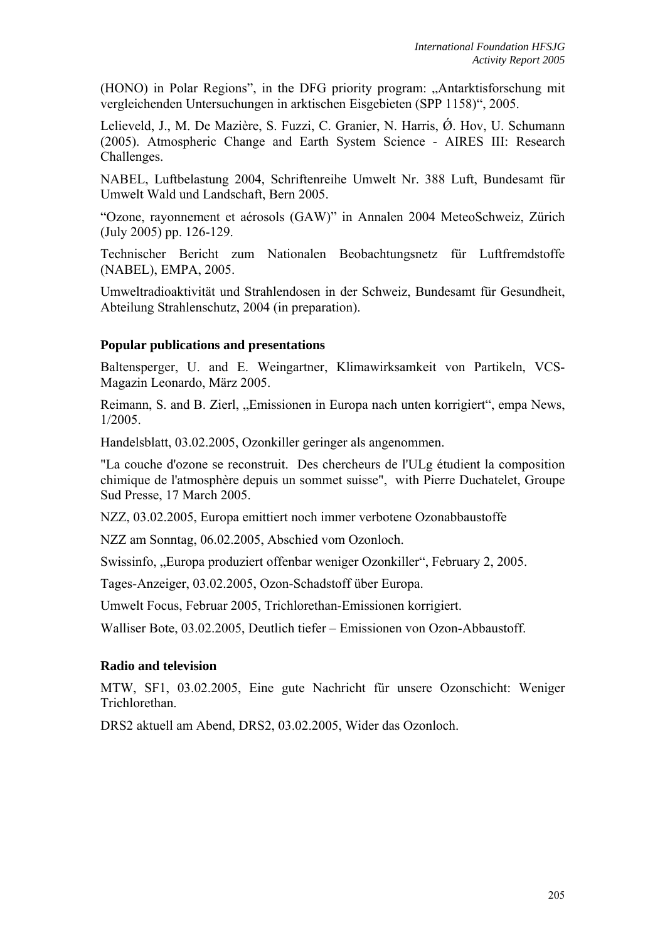(HONO) in Polar Regions", in the DFG priority program: "Antarktisforschung mit vergleichenden Untersuchungen in arktischen Eisgebieten (SPP 1158)", 2005.

Lelieveld, J., M. De Mazière, S. Fuzzi, C. Granier, N. Harris, Ø. Hov, U. Schumann (2005). Atmospheric Change and Earth System Science - AIRES III: Research Challenges.

NABEL, Luftbelastung 2004, Schriftenreihe Umwelt Nr. 388 Luft, Bundesamt für Umwelt Wald und Landschaft, Bern 2005.

"Ozone, rayonnement et aérosols (GAW)" in Annalen 2004 MeteoSchweiz, Zürich (July 2005) pp. 126-129.

Technischer Bericht zum Nationalen Beobachtungsnetz für Luftfremdstoffe (NABEL), EMPA, 2005.

Umweltradioaktivität und Strahlendosen in der Schweiz, Bundesamt für Gesundheit, Abteilung Strahlenschutz, 2004 (in preparation).

#### **Popular publications and presentations**

Baltensperger, U. and E. Weingartner, Klimawirksamkeit von Partikeln, VCS-Magazin Leonardo, März 2005.

Reimann, S. and B. Zierl, "Emissionen in Europa nach unten korrigiert", empa News, 1/2005.

Handelsblatt, 03.02.2005, Ozonkiller geringer als angenommen.

"La couche d'ozone se reconstruit. Des chercheurs de l'ULg étudient la composition chimique de l'atmosphère depuis un sommet suisse", with Pierre Duchatelet, Groupe Sud Presse, 17 March 2005.

NZZ, 03.02.2005, Europa emittiert noch immer verbotene Ozonabbaustoffe

NZZ am Sonntag, 06.02.2005, Abschied vom Ozonloch.

Swissinfo, "Europa produziert offenbar weniger Ozonkiller", February 2, 2005.

Tages-Anzeiger, 03.02.2005, Ozon-Schadstoff über Europa.

Umwelt Focus, Februar 2005, Trichlorethan-Emissionen korrigiert.

Walliser Bote, 03.02.2005, Deutlich tiefer – Emissionen von Ozon-Abbaustoff.

#### **Radio and television**

MTW, SF1, 03.02.2005, Eine gute Nachricht für unsere Ozonschicht: Weniger Trichlorethan.

DRS2 aktuell am Abend, DRS2, 03.02.2005, Wider das Ozonloch.